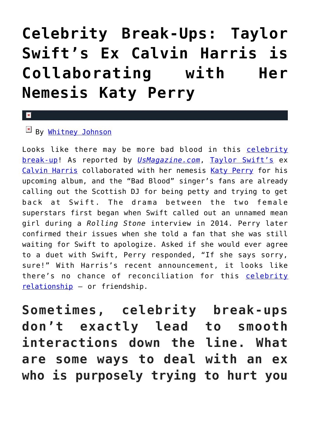# **[Celebrity Break-Ups: Taylor](https://cupidspulse.com/118370/celebrity-break-ups-taylor-swifts-ex-calvin-harris-collaborating-with-katy-perry/) [Swift's Ex Calvin Harris is](https://cupidspulse.com/118370/celebrity-break-ups-taylor-swifts-ex-calvin-harris-collaborating-with-katy-perry/) [Collaborating with Her](https://cupidspulse.com/118370/celebrity-break-ups-taylor-swifts-ex-calvin-harris-collaborating-with-katy-perry/) [Nemesis Katy Perry](https://cupidspulse.com/118370/celebrity-break-ups-taylor-swifts-ex-calvin-harris-collaborating-with-katy-perry/)**

#### $\mathbf{x}$

## $By$  [Whitney Johnson](http://cupidspulse.com/104601/whitney-johnson/)

Looks like there may be more bad blood in this [celebrity](http://cupidspulse.com/celebrity-news/celebrity-break-ups/) [break-up](http://cupidspulse.com/celebrity-news/celebrity-break-ups/)! As reported by *[UsMagazine.com](http://www.usmagazine.com/entertainment/news/taylor-swifts-ex-calvin-harris-is-collaborating-with-katy-perry-on-new-album-w481529)*, [Taylor Swift's](http://cupidspulse.com/86081/taylor-swift/) ex [Calvin Harris](http://cupidspulse.com/110443/calvin-harris/) collaborated with her nemesis [Katy Perry](http://cupidspulse.com/86093/katy-perry/) for his upcoming album, and the "Bad Blood" singer's fans are already calling out the Scottish DJ for being petty and trying to get back at Swift. The drama between the two female superstars first began when Swift called out an unnamed mean girl during a *Rolling Stone* interview in 2014. Perry later confirmed their issues when she told a fan that she was still waiting for Swift to apologize. Asked if she would ever agree to a duet with Swift, Perry responded, "If she says sorry, sure!" With Harris's recent announcement, it looks like there's no chance of reconciliation for this [celebrity](http://cupidspulse.com/celebrity-news/celebrity-dating/) [relationship](http://cupidspulse.com/celebrity-news/celebrity-dating/) — or friendship.

**Sometimes, celebrity break-ups don't exactly lead to smooth interactions down the line. What are some ways to deal with an ex who is purposely trying to hurt you**